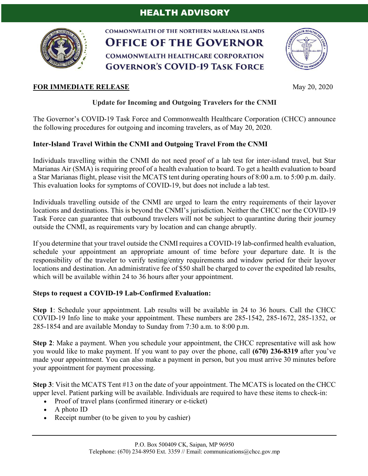# HEALTH ADVISORY



**COMMONWEALTH OF THE NORTHERN MARIANA ISLANDS OFFICE OF THE GOVERNOR COMMONWEALTH HEALTHCARE CORPORATION GOVERNOR'S COVID-19 TASK FORCE** 

# **FOR IMMEDIATE RELEASE** May 20, 2020

## **Update for Incoming and Outgoing Travelers for the CNMI**

The Governor's COVID-19 Task Force and Commonwealth Healthcare Corporation (CHCC) announce the following procedures for outgoing and incoming travelers, as of May 20, 2020.

# **Inter-Island Travel Within the CNMI and Outgoing Travel From the CNMI**

Individuals travelling within the CNMI do not need proof of a lab test for inter-island travel, but Star Marianas Air (SMA) is requiring proof of a health evaluation to board. To get a health evaluation to board a Star Marianas flight, please visit the MCATS tent during operating hours of 8:00 a.m. to 5:00 p.m. daily. This evaluation looks for symptoms of COVID-19, but does not include a lab test.

Individuals travelling outside of the CNMI are urged to learn the entry requirements of their layover locations and destinations. This is beyond the CNMI's jurisdiction. Neither the CHCC nor the COVID-19 Task Force can guarantee that outbound travelers will not be subject to quarantine during their journey outside the CNMI, as requirements vary by location and can change abruptly.

If you determine that your travel outside the CNMI requires a COVID-19 lab-confirmed health evaluation, schedule your appointment an appropriate amount of time before your departure date. It is the responsibility of the traveler to verify testing/entry requirements and window period for their layover locations and destination. An administrative fee of \$50 shall be charged to cover the expedited lab results, which will be available within 24 to 36 hours after your appointment.

#### **Steps to request a COVID-19 Lab-Confirmed Evaluation:**

**Step 1**: Schedule your appointment. Lab results will be available in 24 to 36 hours. Call the CHCC COVID-19 Info line to make your appointment. These numbers are 285-1542, 285-1672, 285-1352, or 285-1854 and are available Monday to Sunday from 7:30 a.m. to 8:00 p.m.

**Step 2**: Make a payment. When you schedule your appointment, the CHCC representative will ask how you would like to make payment. If you want to pay over the phone, call **(670) 236-8319** after you've made your appointment. You can also make a payment in person, but you must arrive 30 minutes before your appointment for payment processing.

**Step 3**: Visit the MCATS Tent #13 on the date of your appointment. The MCATS is located on the CHCC upper level. Patient parking will be available. Individuals are required to have these items to check-in:

- Proof of travel plans (confirmed itinerary or e-ticket)
- A photo ID
- Receipt number (to be given to you by cashier)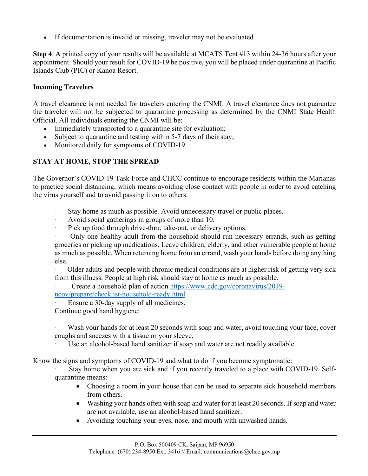• If documentation is invalid or missing, traveler may not be evaluated

**Step 4**: A printed copy of your results will be available at MCATS Tent #13 within 24-36 hours after your appointment. Should your result for COVID-19 be positive, you will be placed under quarantine at Pacific Islands Club (PIC) or Kanoa Resort.

## **Incoming Travelers**

A travel clearance is not needed for travelers entering the CNMI. A travel clearance does not guarantee the traveler will not be subjected to quarantine processing as determined by the CNMI State Health Official. All individuals entering the CNMI will be:

- Immediately transported to a quarantine site for evaluation;
- Subject to quarantine and testing within 5-7 days of their stay;
- Monitored daily for symptoms of COVID-19.

# **STAY AT HOME, STOP THE SPREAD**

The Governor's COVID-19 Task Force and CHCC continue to encourage residents within the Marianas to practice social distancing, which means avoiding close contact with people in order to avoid catching the virus yourself and to avoid passing it on to others.

- Stay home as much as possible. Avoid unnecessary travel or public places.
- Avoid social gatherings in groups of more than 10.
- Pick up food through drive-thru, take-out, or delivery options.

· Only one healthy adult from the household should run necessary errands, such as getting groceries or picking up medications. Leave children, elderly, and other vulnerable people at home as much as possible. When returning home from an errand, wash your hands before doing anything else.

· Older adults and people with chronic medical conditions are at higher risk of getting very sick from this illness. People at high risk should stay at home as much as possible.

· Create a household plan of action https://www.cdc.gov/coronavirus/2019 ncov/prepare/checklist-household-ready.html

Ensure a 30-day supply of all medicines.

Continue good hand hygiene:

Wash your hands for at least 20 seconds with soap and water, avoid touching your face, cover coughs and sneezes with a tissue or your sleeve.

Use an alcohol-based hand sanitizer if soap and water are not readily available.

Know the signs and symptoms of COVID-19 and what to do if you become symptomatic:

Stay home when you are sick and if you recently traveled to a place with COVID-19. Selfquarantine means:

- Choosing a room in your house that can be used to separate sick household members from others.
- Washing your hands often with soap and water for at least 20 seconds. If soap and water are not available, use an alcohol-based hand sanitizer.
- Avoiding touching your eyes, nose, and mouth with unwashed hands.